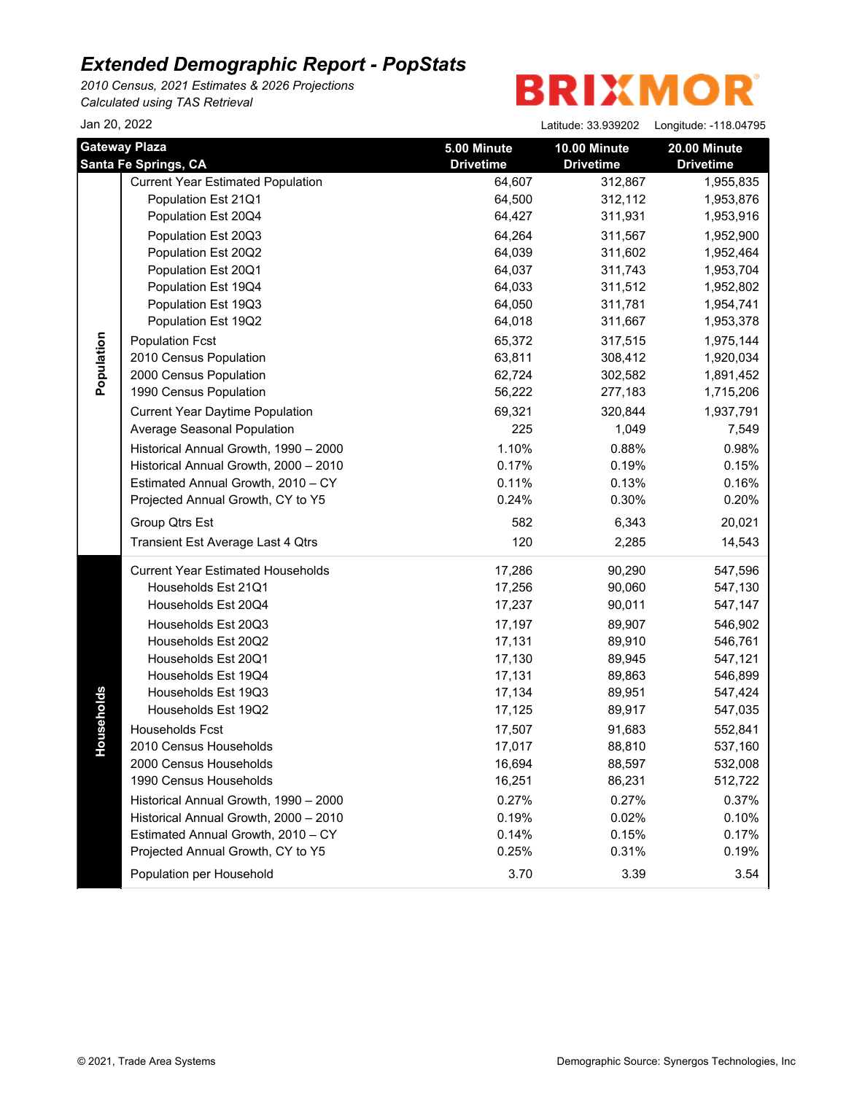*2010 Census, 2021 Estimates & 2026 Projections Calculated using TAS Retrieval*

| Jan 20, 2022 |                                                                                                                                                                                                                                                                                                                                                                                                                                                                                                                                                                                                  |                                                                                                                                                                                            | Latitude: 33.939202                                                                                                                                                                                          | Longitude: -118.04795                                                                                                                                                                                                                     |
|--------------|--------------------------------------------------------------------------------------------------------------------------------------------------------------------------------------------------------------------------------------------------------------------------------------------------------------------------------------------------------------------------------------------------------------------------------------------------------------------------------------------------------------------------------------------------------------------------------------------------|--------------------------------------------------------------------------------------------------------------------------------------------------------------------------------------------|--------------------------------------------------------------------------------------------------------------------------------------------------------------------------------------------------------------|-------------------------------------------------------------------------------------------------------------------------------------------------------------------------------------------------------------------------------------------|
|              | <b>Gateway Plaza</b><br><b>Santa Fe Springs, CA</b>                                                                                                                                                                                                                                                                                                                                                                                                                                                                                                                                              | 5.00 Minute<br><b>Drivetime</b>                                                                                                                                                            | 10.00 Minute<br><b>Drivetime</b>                                                                                                                                                                             | 20.00 Minute<br><b>Drivetime</b>                                                                                                                                                                                                          |
| Population   | <b>Current Year Estimated Population</b><br>Population Est 21Q1<br>Population Est 20Q4<br>Population Est 20Q3<br>Population Est 20Q2<br>Population Est 20Q1<br>Population Est 19Q4<br>Population Est 19Q3<br>Population Est 19Q2<br><b>Population Fcst</b><br>2010 Census Population<br>2000 Census Population<br>1990 Census Population<br><b>Current Year Daytime Population</b><br>Average Seasonal Population<br>Historical Annual Growth, 1990 - 2000<br>Historical Annual Growth, 2000 - 2010<br>Estimated Annual Growth, 2010 - CY<br>Projected Annual Growth, CY to Y5<br>Group Qtrs Est | 64,607<br>64,500<br>64,427<br>64,264<br>64,039<br>64,037<br>64,033<br>64,050<br>64,018<br>65,372<br>63,811<br>62,724<br>56,222<br>69,321<br>225<br>1.10%<br>0.17%<br>0.11%<br>0.24%<br>582 | 312,867<br>312,112<br>311,931<br>311,567<br>311,602<br>311,743<br>311,512<br>311,781<br>311,667<br>317,515<br>308,412<br>302,582<br>277,183<br>320,844<br>1,049<br>0.88%<br>0.19%<br>0.13%<br>0.30%<br>6,343 | 1,955,835<br>1,953,876<br>1,953,916<br>1,952,900<br>1,952,464<br>1,953,704<br>1,952,802<br>1,954,741<br>1,953,378<br>1,975,144<br>1,920,034<br>1,891,452<br>1,715,206<br>1,937,791<br>7,549<br>0.98%<br>0.15%<br>0.16%<br>0.20%<br>20,021 |
|              | Transient Est Average Last 4 Qtrs                                                                                                                                                                                                                                                                                                                                                                                                                                                                                                                                                                | 120                                                                                                                                                                                        | 2,285                                                                                                                                                                                                        | 14,543                                                                                                                                                                                                                                    |
| seholds<br>유 | <b>Current Year Estimated Households</b><br>Households Est 21Q1<br>Households Est 20Q4<br>Households Est 20Q3<br>Households Est 20Q2<br>Households Est 20Q1<br>Households Est 19Q4<br>Households Est 19Q3<br>Households Est 19Q2<br>Households Fcst<br>2010 Census Households<br>2000 Census Households<br>1990 Census Households<br>Historical Annual Growth, 1990 - 2000<br>Historical Annual Growth, 2000 - 2010<br>Estimated Annual Growth, 2010 - CY<br>Projected Annual Growth, CY to Y5<br>Population per Household                                                                       | 17,286<br>17,256<br>17,237<br>17,197<br>17,131<br>17,130<br>17,131<br>17,134<br>17,125<br>17,507<br>17,017<br>16,694<br>16,251<br>0.27%<br>0.19%<br>0.14%<br>0.25%<br>3.70                 | 90,290<br>90,060<br>90,011<br>89,907<br>89,910<br>89,945<br>89,863<br>89,951<br>89,917<br>91,683<br>88,810<br>88,597<br>86,231<br>0.27%<br>0.02%<br>0.15%<br>0.31%<br>3.39                                   | 547,596<br>547,130<br>547,147<br>546,902<br>546,761<br>547,121<br>546,899<br>547,424<br>547,035<br>552,841<br>537,160<br>532,008<br>512,722<br>0.37%<br>0.10%<br>0.17%<br>0.19%<br>3.54                                                   |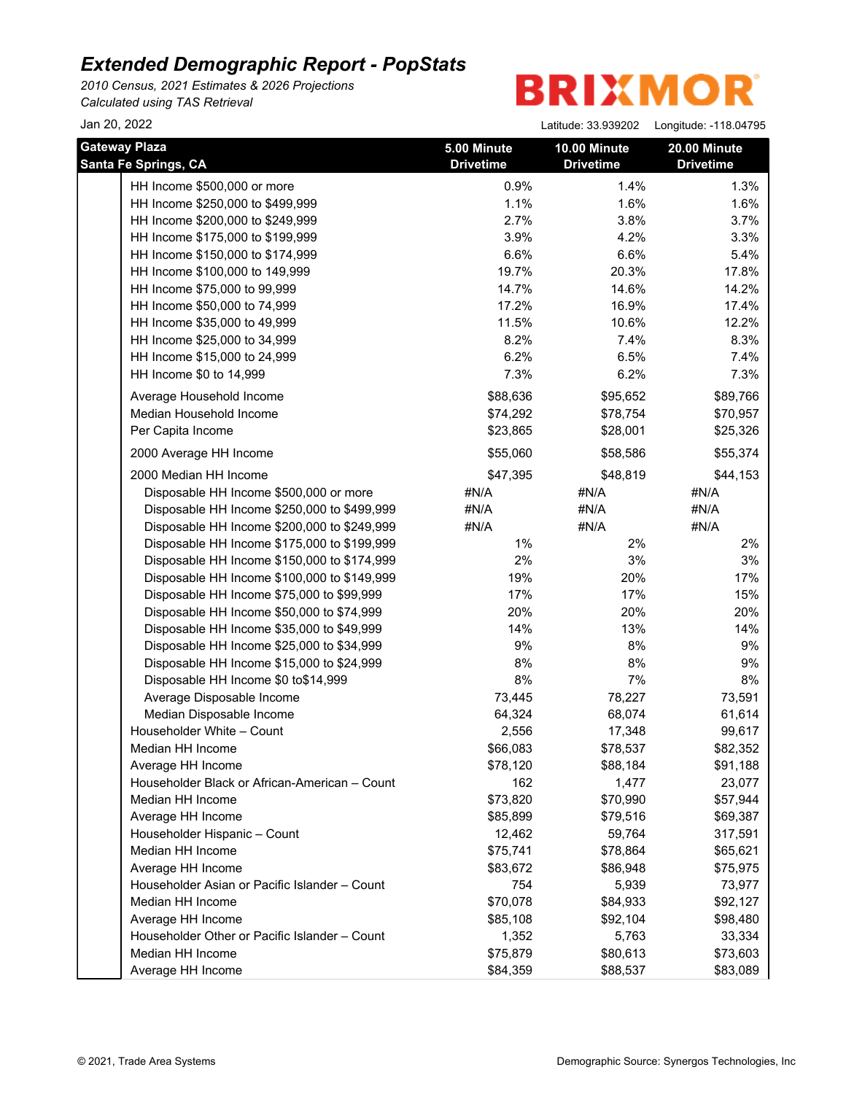*2010 Census, 2021 Estimates & 2026 Projections*

*Calculated using TAS Retrieval*

| Jan 20, 2022                                                      |                                 | Latitude: 33.939202              | Longitude: -118.04795            |
|-------------------------------------------------------------------|---------------------------------|----------------------------------|----------------------------------|
| <b>Gateway Plaza</b><br><b>Santa Fe Springs, CA</b>               | 5.00 Minute<br><b>Drivetime</b> | 10.00 Minute<br><b>Drivetime</b> | 20.00 Minute<br><b>Drivetime</b> |
| HH Income \$500,000 or more                                       | 0.9%                            | 1.4%                             | 1.3%                             |
| HH Income \$250,000 to \$499,999                                  | 1.1%                            | 1.6%                             | 1.6%                             |
| HH Income \$200,000 to \$249,999                                  | 2.7%                            | 3.8%                             | 3.7%                             |
| HH Income \$175,000 to \$199,999                                  | 3.9%                            | 4.2%                             | 3.3%                             |
| HH Income \$150,000 to \$174,999                                  | 6.6%                            | 6.6%                             | 5.4%                             |
| HH Income \$100,000 to 149,999                                    | 19.7%                           | 20.3%                            | 17.8%                            |
| HH Income \$75,000 to 99,999                                      | 14.7%                           | 14.6%                            | 14.2%                            |
| HH Income \$50,000 to 74,999                                      | 17.2%                           | 16.9%                            | 17.4%                            |
| HH Income \$35,000 to 49,999                                      | 11.5%                           | 10.6%                            | 12.2%                            |
| HH Income \$25,000 to 34,999                                      | 8.2%                            | 7.4%                             | 8.3%                             |
| HH Income \$15,000 to 24,999                                      | 6.2%                            | 6.5%                             | 7.4%                             |
| HH Income \$0 to 14,999                                           | 7.3%                            | 6.2%                             | 7.3%                             |
| Average Household Income                                          | \$88,636                        | \$95,652                         | \$89,766                         |
| Median Household Income                                           | \$74,292                        | \$78,754                         | \$70,957                         |
| Per Capita Income                                                 | \$23,865                        | \$28,001                         | \$25,326                         |
| 2000 Average HH Income                                            | \$55,060                        | \$58,586                         | \$55,374                         |
|                                                                   |                                 |                                  |                                  |
| 2000 Median HH Income<br>Disposable HH Income \$500,000 or more   | \$47,395<br>#N/A                | \$48,819                         | \$44,153                         |
| Disposable HH Income \$250,000 to \$499,999                       |                                 | #N/A                             | #N/A                             |
|                                                                   | #N/A                            | #N/A                             | #N/A                             |
| Disposable HH Income \$200,000 to \$249,999                       | #N/A                            | #N/A                             | #N/A                             |
| Disposable HH Income \$175,000 to \$199,999                       | 1%                              | 2%                               | 2%                               |
| Disposable HH Income \$150,000 to \$174,999                       | 2%                              | 3%                               | 3%                               |
| Disposable HH Income \$100,000 to \$149,999                       | 19%<br>17%                      | 20%                              | 17%                              |
| Disposable HH Income \$75,000 to \$99,999                         | 20%                             | 17%                              | 15%<br>20%                       |
| Disposable HH Income \$50,000 to \$74,999                         | 14%                             | 20%<br>13%                       |                                  |
| Disposable HH Income \$35,000 to \$49,999                         | 9%                              | 8%                               | 14%                              |
| Disposable HH Income \$25,000 to \$34,999                         |                                 |                                  | 9%                               |
| Disposable HH Income \$15,000 to \$24,999                         | 8%                              | 8%                               | 9%                               |
| Disposable HH Income \$0 to\$14,999                               | 8%                              | 7%                               | 8%                               |
| Average Disposable Income                                         | 73,445                          | 78,227                           | 73,591                           |
| Median Disposable Income                                          | 64,324                          | 68,074                           | 61,614                           |
| Householder White - Count                                         | 2,556                           | 17,348                           | 99,617                           |
| Median HH Income                                                  | \$66,083                        | \$78,537                         | \$82,352                         |
| Average HH Income                                                 | \$78,120<br>162                 | \$88,184                         | \$91,188                         |
| Householder Black or African-American - Count<br>Median HH Income |                                 | 1,477                            | 23,077                           |
|                                                                   | \$73,820                        | \$70,990                         | \$57,944                         |
| Average HH Income                                                 | \$85,899                        | \$79,516                         | \$69,387                         |
| Householder Hispanic - Count                                      | 12,462                          | 59,764                           | 317,591                          |
| Median HH Income                                                  | \$75,741                        | \$78,864                         | \$65,621                         |
| Average HH Income                                                 | \$83,672                        | \$86,948                         | \$75,975                         |
| Householder Asian or Pacific Islander - Count                     | 754                             | 5,939                            | 73,977                           |
| Median HH Income                                                  | \$70,078                        | \$84,933                         | \$92,127                         |
| Average HH Income                                                 | \$85,108                        | \$92,104                         | \$98,480                         |
| Householder Other or Pacific Islander - Count                     | 1,352                           | 5,763                            | 33,334                           |
| Median HH Income                                                  | \$75,879                        | \$80,613                         | \$73,603                         |
| Average HH Income                                                 | \$84,359                        | \$88,537                         | \$83,089                         |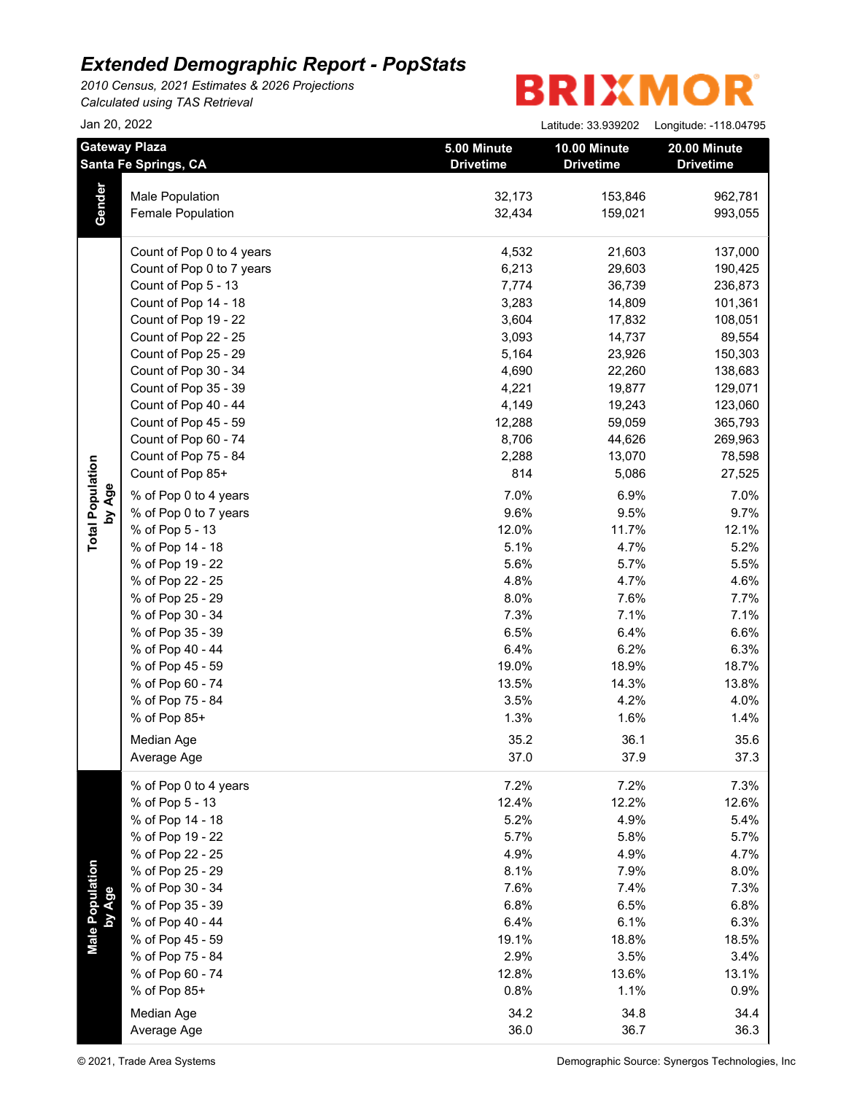*2010 Census, 2021 Estimates & 2026 Projections Calculated using TAS Retrieval*

| Jan 20, 2022                                 |                           |                                 | Latitude: 33.939202              | Longitude: -118.04795            |
|----------------------------------------------|---------------------------|---------------------------------|----------------------------------|----------------------------------|
| <b>Gateway Plaza</b><br>Santa Fe Springs, CA |                           | 5.00 Minute<br><b>Drivetime</b> | 10.00 Minute<br><b>Drivetime</b> | 20.00 Minute<br><b>Drivetime</b> |
|                                              | <b>Male Population</b>    | 32,173                          | 153,846                          | 962,781                          |
| Gender                                       | <b>Female Population</b>  | 32,434                          | 159,021                          | 993,055                          |
|                                              | Count of Pop 0 to 4 years | 4,532                           | 21,603                           | 137,000                          |
|                                              | Count of Pop 0 to 7 years | 6,213                           | 29,603                           | 190,425                          |
|                                              | Count of Pop 5 - 13       | 7,774                           | 36,739                           | 236,873                          |
|                                              | Count of Pop 14 - 18      | 3,283                           | 14,809                           | 101,361                          |
|                                              | Count of Pop 19 - 22      | 3,604                           | 17,832                           | 108,051                          |
|                                              | Count of Pop 22 - 25      | 3,093                           | 14,737                           | 89,554                           |
|                                              | Count of Pop 25 - 29      | 5,164                           | 23,926                           | 150,303                          |
|                                              | Count of Pop 30 - 34      | 4,690                           | 22,260                           | 138,683                          |
|                                              | Count of Pop 35 - 39      | 4,221                           | 19,877                           | 129,071                          |
|                                              | Count of Pop 40 - 44      | 4,149                           | 19,243                           | 123,060                          |
|                                              | Count of Pop 45 - 59      | 12,288                          | 59,059                           | 365,793                          |
|                                              | Count of Pop 60 - 74      | 8,706                           | 44,626                           | 269,963                          |
|                                              | Count of Pop 75 - 84      | 2,288                           | 13,070                           | 78,598                           |
|                                              | Count of Pop 85+          | 814                             | 5,086                            | 27,525                           |
| by Age                                       | % of Pop 0 to 4 years     | 7.0%                            | 6.9%                             | 7.0%                             |
|                                              | % of Pop 0 to 7 years     | 9.6%                            | 9.5%                             | 9.7%                             |
|                                              | % of Pop 5 - 13           | 12.0%                           | 11.7%                            | 12.1%                            |
|                                              | % of Pop 14 - 18          | 5.1%                            | 4.7%                             | 5.2%                             |
|                                              | % of Pop 19 - 22          | 5.6%                            | 5.7%                             | 5.5%                             |
|                                              | % of Pop 22 - 25          | 4.8%                            | 4.7%                             | 4.6%                             |
|                                              | % of Pop 25 - 29          | 8.0%                            | 7.6%                             | 7.7%                             |
|                                              | % of Pop 30 - 34          | 7.3%                            | 7.1%                             | 7.1%                             |
|                                              | % of Pop 35 - 39          | 6.5%                            | 6.4%                             | 6.6%                             |
|                                              | % of Pop 40 - 44          | 6.4%                            | 6.2%                             | 6.3%                             |
|                                              | % of Pop 45 - 59          | 19.0%                           | 18.9%                            | 18.7%                            |
|                                              | % of Pop 60 - 74          | 13.5%                           | 14.3%                            | 13.8%                            |
|                                              | % of Pop 75 - 84          | 3.5%                            | 4.2%                             | 4.0%                             |
|                                              | % of Pop 85+              | 1.3%                            | 1.6%                             | 1.4%                             |
|                                              | Median Age                | 35.2                            | 36.1                             | 35.6                             |
|                                              | Average Age               | 37.0                            | 37.9                             | 37.3                             |
|                                              | % of Pop 0 to 4 years     | 7.2%                            | 7.2%                             | 7.3%                             |
|                                              | % of Pop 5 - 13           | 12.4%                           | 12.2%                            | 12.6%                            |
|                                              | % of Pop 14 - 18          | 5.2%                            | 4.9%                             | 5.4%                             |
|                                              | % of Pop 19 - 22          | 5.7%                            | 5.8%                             | 5.7%                             |
|                                              | % of Pop 22 - 25          | 4.9%                            | 4.9%                             | 4.7%                             |
|                                              | % of Pop 25 - 29          | 8.1%                            | 7.9%                             | 8.0%                             |
|                                              | % of Pop 30 - 34          | 7.6%                            | 7.4%                             | 7.3%                             |
|                                              | % of Pop 35 - 39          | 6.8%                            | 6.5%                             | 6.8%                             |
|                                              | % of Pop 40 - 44          | 6.4%                            | 6.1%                             | 6.3%                             |
| Male Population<br>by Age                    | % of Pop 45 - 59          | 19.1%                           | 18.8%                            | 18.5%                            |
|                                              | % of Pop 75 - 84          | 2.9%                            | 3.5%                             | 3.4%                             |
|                                              | % of Pop 60 - 74          | 12.8%                           | 13.6%                            | 13.1%                            |
|                                              | % of Pop 85+              | 0.8%                            | 1.1%                             | 0.9%                             |
|                                              | Median Age                | 34.2                            | 34.8                             | 34.4                             |
|                                              | Average Age               | 36.0                            | 36.7                             | 36.3                             |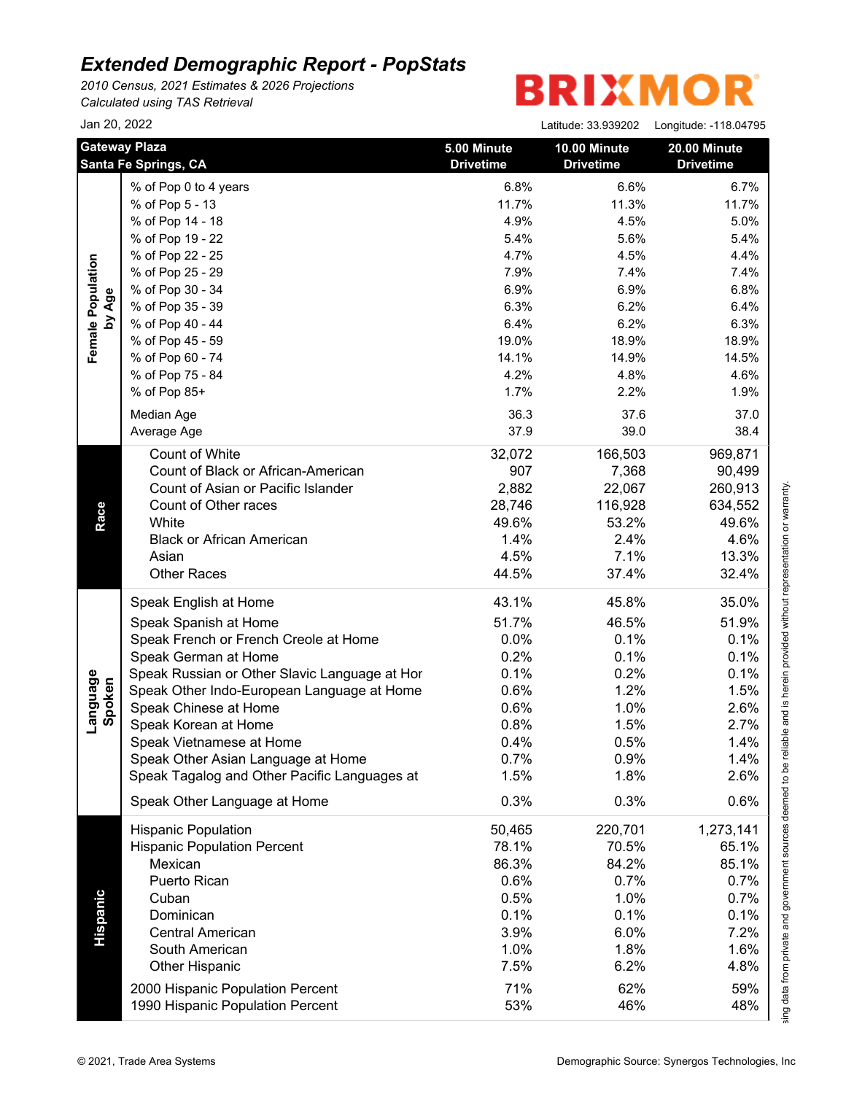*2010 Census, 2021 Estimates & 2026 Projections*

*Calculated using TAS Retrieval*

# **BRIXMOR®**

|                             | Jan 20, 2022                                  |                                 | Latitude: 33.939202              | Longitude: -118.04795            |
|-----------------------------|-----------------------------------------------|---------------------------------|----------------------------------|----------------------------------|
|                             | <b>Gateway Plaza</b><br>Santa Fe Springs, CA  | 5.00 Minute<br><b>Drivetime</b> | 10.00 Minute<br><b>Drivetime</b> | 20.00 Minute<br><b>Drivetime</b> |
|                             | % of Pop 0 to 4 years                         | 6.8%                            | 6.6%                             | 6.7%                             |
|                             | % of Pop 5 - 13                               | 11.7%                           | 11.3%                            | 11.7%                            |
|                             | % of Pop 14 - 18                              | 4.9%                            | 4.5%                             | 5.0%                             |
|                             | % of Pop 19 - 22                              | 5.4%                            | 5.6%                             | 5.4%                             |
|                             | % of Pop 22 - 25                              | 4.7%                            | 4.5%                             | 4.4%                             |
|                             | % of Pop 25 - 29                              | 7.9%                            | 7.4%                             | 7.4%                             |
|                             | % of Pop 30 - 34                              | 6.9%                            | 6.9%                             | 6.8%                             |
|                             | % of Pop 35 - 39                              | 6.3%                            | 6.2%                             | 6.4%                             |
| Female Population<br>by Age | % of Pop 40 - 44                              | 6.4%                            | 6.2%                             | 6.3%                             |
|                             | % of Pop 45 - 59                              | 19.0%                           | 18.9%                            | 18.9%                            |
|                             | % of Pop 60 - 74                              | 14.1%                           | 14.9%                            | 14.5%                            |
|                             | % of Pop 75 - 84                              | 4.2%                            | 4.8%                             | 4.6%                             |
|                             | % of Pop 85+                                  | 1.7%                            | 2.2%                             | 1.9%                             |
|                             | Median Age                                    | 36.3                            | 37.6                             | 37.0                             |
|                             | Average Age                                   | 37.9                            | 39.0                             | 38.4                             |
|                             |                                               |                                 |                                  |                                  |
|                             | Count of White                                | 32,072                          | 166,503                          | 969,871                          |
|                             | Count of Black or African-American            | 907                             | 7,368                            | 90,499                           |
|                             | Count of Asian or Pacific Islander            | 2,882                           | 22,067                           | 260,913                          |
|                             | Count of Other races                          | 28,746                          | 116,928                          | 634,552                          |
| Race                        | White                                         | 49.6%                           | 53.2%                            | 49.6%                            |
|                             | <b>Black or African American</b>              | 1.4%                            | 2.4%                             | 4.6%                             |
|                             | Asian                                         | 4.5%                            | 7.1%                             | 13.3%                            |
|                             | <b>Other Races</b>                            | 44.5%                           | 37.4%                            | 32.4%                            |
|                             | Speak English at Home                         | 43.1%                           | 45.8%                            | 35.0%                            |
|                             | Speak Spanish at Home                         | 51.7%                           | 46.5%                            | 51.9%                            |
|                             | Speak French or French Creole at Home         | 0.0%                            | 0.1%                             | 0.1%                             |
|                             | Speak German at Home                          | 0.2%                            | 0.1%                             | 0.1%                             |
| Language<br>Spoken          | Speak Russian or Other Slavic Language at Hor | 0.1%                            | 0.2%                             | 0.1%                             |
|                             | Speak Other Indo-European Language at Home    | 0.6%                            | 1.2%                             | 1.5%                             |
|                             | Speak Chinese at Home                         | 0.6%                            | 1.0%                             | 2.6%                             |
|                             | Speak Korean at Home                          | 0.8%                            | 1.5%                             | 2.7%                             |
|                             | Speak Vietnamese at Home                      | $0.4\%$                         | 0.5%                             | 1.4%                             |
|                             | Speak Other Asian Language at Home            | 0.7%                            | 0.9%                             | 1.4%                             |
|                             | Speak Tagalog and Other Pacific Languages at  | 1.5%                            | 1.8%                             | 2.6%                             |
|                             | Speak Other Language at Home                  | 0.3%                            | 0.3%                             | 0.6%                             |
|                             | <b>Hispanic Population</b>                    | 50,465                          | 220,701                          | 1,273,141                        |
|                             | <b>Hispanic Population Percent</b>            | 78.1%                           | 70.5%                            | 65.1%                            |
|                             | Mexican                                       | 86.3%                           | 84.2%                            | 85.1%                            |
|                             | Puerto Rican                                  | 0.6%                            | 0.7%                             | 0.7%                             |
|                             |                                               | 0.5%                            | 1.0%                             | 0.7%                             |
|                             | Cuban                                         |                                 |                                  | 0.1%                             |
|                             | Dominican                                     | 0.1%                            | 0.1%                             |                                  |
|                             | <b>Central American</b>                       | 3.9%                            | 6.0%                             | 7.2%                             |
|                             | South American                                | 1.0%                            | 1.8%                             | 1.6%                             |
|                             | <b>Other Hispanic</b>                         | 7.5%                            | 6.2%                             | 4.8%                             |
| Hispanic                    | 2000 Hispanic Population Percent              | 71%                             | 62%                              | 59%                              |

This report was produced using data from private and government sources deemed to be reliable and is herein provided without representation or warranty.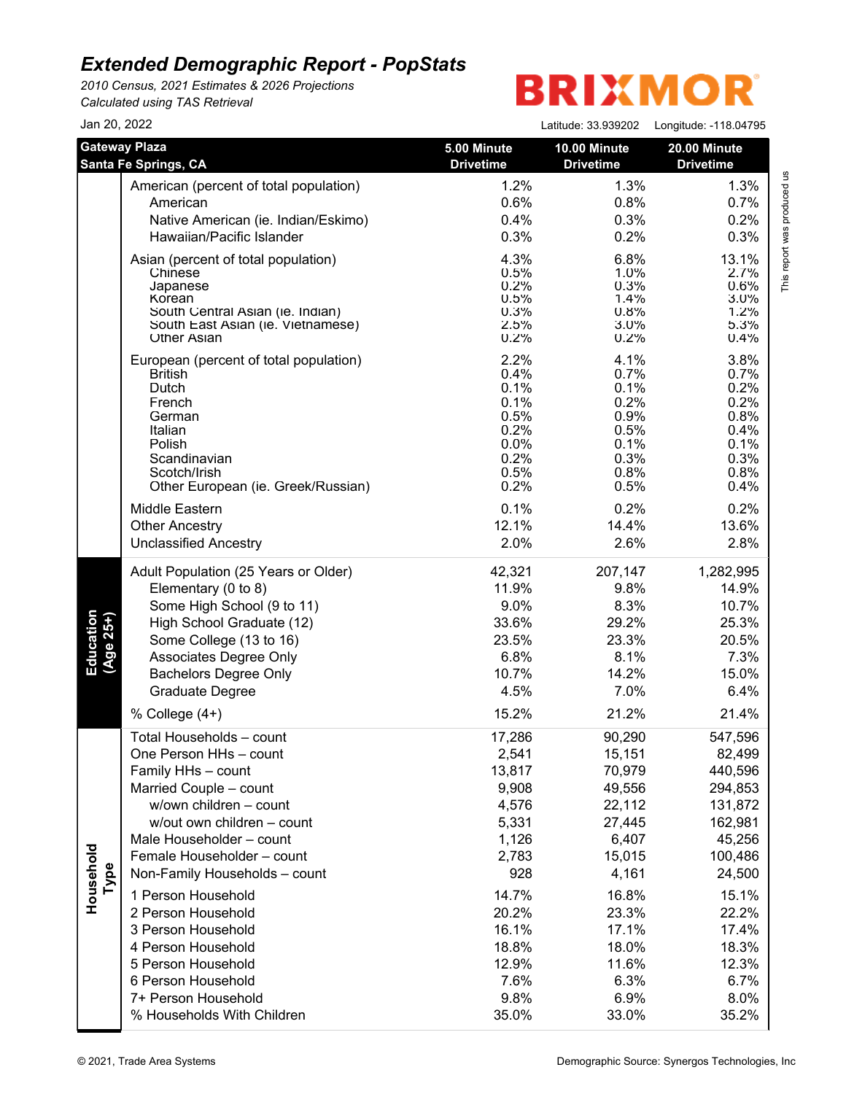*2010 Census, 2021 Estimates & 2026 Projections Calculated using TAS Retrieval*

| Jan 20, 2022           |                                                                       |                                 | Latitude: 33.939202              | Longitude: -118.04795            |
|------------------------|-----------------------------------------------------------------------|---------------------------------|----------------------------------|----------------------------------|
|                        | <b>Gateway Plaza</b><br>Santa Fe Springs, CA                          | 5.00 Minute<br><b>Drivetime</b> | 10.00 Minute<br><b>Drivetime</b> | 20.00 Minute<br><b>Drivetime</b> |
|                        | American (percent of total population)                                | 1.2%                            | 1.3%                             | 1.3%                             |
|                        | American                                                              | 0.6%                            | 0.8%                             | 0.7%                             |
|                        | Native American (ie. Indian/Eskimo)                                   | 0.4%                            | 0.3%                             | 0.2%                             |
|                        | Hawaiian/Pacific Islander                                             | 0.3%                            | 0.2%                             | 0.3%                             |
|                        | Asian (percent of total population)                                   | 4.3%                            | 6.8%                             | 13.1%                            |
|                        | Chinese                                                               | 0.5%                            | 1.0%                             | 2.7%                             |
|                        | Japanese                                                              | 0.2%                            | 0.3%                             | 0.6%                             |
|                        | Korean                                                                | 0.5%                            | 1.4%                             | 3.0%                             |
|                        | South Central Asian (ie. Indian)<br>South East Asian (ie. Vietnamese) | 0.3%<br>2.5%                    | 0.8%<br>3.0%                     | 1.2%<br>5.3%                     |
|                        | <b>Other Asian</b>                                                    | 0.2%                            | 0.2%                             | 0.4%                             |
|                        | European (percent of total population)                                | 2.2%                            | 4.1%                             | 3.8%                             |
|                        | <b>British</b>                                                        | 0.4%                            | 0.7%                             | 0.7%                             |
|                        | Dutch                                                                 | 0.1%                            | 0.1%                             | 0.2%                             |
|                        | French                                                                | 0.1%                            | 0.2%                             | 0.2%                             |
|                        | German<br>Italian                                                     | 0.5%<br>0.2%                    | 0.9%<br>0.5%                     | 0.8%<br>0.4%                     |
|                        | Polish                                                                | 0.0%                            | 0.1%                             | 0.1%                             |
|                        | Scandinavian                                                          | 0.2%                            | 0.3%                             | 0.3%                             |
|                        | Scotch/Irish                                                          | 0.5%                            | 0.8%                             | 0.8%                             |
|                        | Other European (ie. Greek/Russian)                                    | 0.2%                            | 0.5%                             | 0.4%                             |
|                        | Middle Eastern                                                        | 0.1%                            | 0.2%                             | 0.2%                             |
|                        | <b>Other Ancestry</b>                                                 | 12.1%                           | 14.4%                            | 13.6%                            |
|                        | <b>Unclassified Ancestry</b>                                          | 2.0%                            | 2.6%                             | 2.8%                             |
|                        | Adult Population (25 Years or Older)                                  | 42,321                          | 207,147                          | 1,282,995                        |
|                        | Elementary (0 to 8)                                                   | 11.9%                           | 9.8%                             | 14.9%                            |
|                        | Some High School (9 to 11)                                            | 9.0%                            | 8.3%                             | 10.7%                            |
|                        | High School Graduate (12)                                             | 33.6%                           | 29.2%                            | 25.3%                            |
| Education<br>(Age 25+) | Some College (13 to 16)                                               | 23.5%                           | 23.3%                            | 20.5%                            |
|                        | Associates Degree Only                                                | 6.8%                            | 8.1%                             | 7.3%                             |
|                        | <b>Bachelors Degree Only</b>                                          | 10.7%                           | 14.2%                            | 15.0%                            |
|                        | <b>Graduate Degree</b>                                                | 4.5%                            | 7.0%                             | 6.4%                             |
|                        | % College (4+)                                                        | 15.2%                           | 21.2%                            | 21.4%                            |
|                        | Total Households - count                                              | 17,286                          | 90,290                           | 547,596                          |
|                        | One Person HHs - count                                                | 2,541                           | 15,151                           | 82,499                           |
|                        | Family HHs - count                                                    | 13,817                          | 70,979                           | 440,596                          |
|                        | Married Couple - count                                                | 9,908                           | 49,556                           | 294,853                          |
|                        | w/own children - count                                                | 4,576                           | 22,112                           | 131,872                          |
|                        | w/out own children - count                                            | 5,331                           | 27,445                           | 162,981                          |
|                        | Male Householder - count                                              | 1,126                           | 6,407                            | 45,256                           |
|                        | Female Householder - count                                            | 2,783                           | 15,015                           | 100,486                          |
| Household<br>Type      | Non-Family Households - count                                         | 928                             | 4,161                            | 24,500                           |
|                        | 1 Person Household                                                    | 14.7%                           | 16.8%                            | 15.1%                            |
|                        | 2 Person Household                                                    | 20.2%                           | 23.3%                            | 22.2%                            |
|                        | 3 Person Household                                                    | 16.1%                           | 17.1%                            | 17.4%                            |
|                        | 4 Person Household                                                    | 18.8%                           | 18.0%                            | 18.3%                            |
|                        | 5 Person Household                                                    | 12.9%                           | 11.6%                            | 12.3%                            |
|                        | 6 Person Household                                                    | 7.6%                            | 6.3%                             | 6.7%                             |
|                        | 7+ Person Household                                                   | 9.8%                            | 6.9%                             | 8.0%                             |
|                        | % Households With Children                                            | 35.0%                           | 33.0%                            | 35.2%                            |
|                        |                                                                       |                                 |                                  |                                  |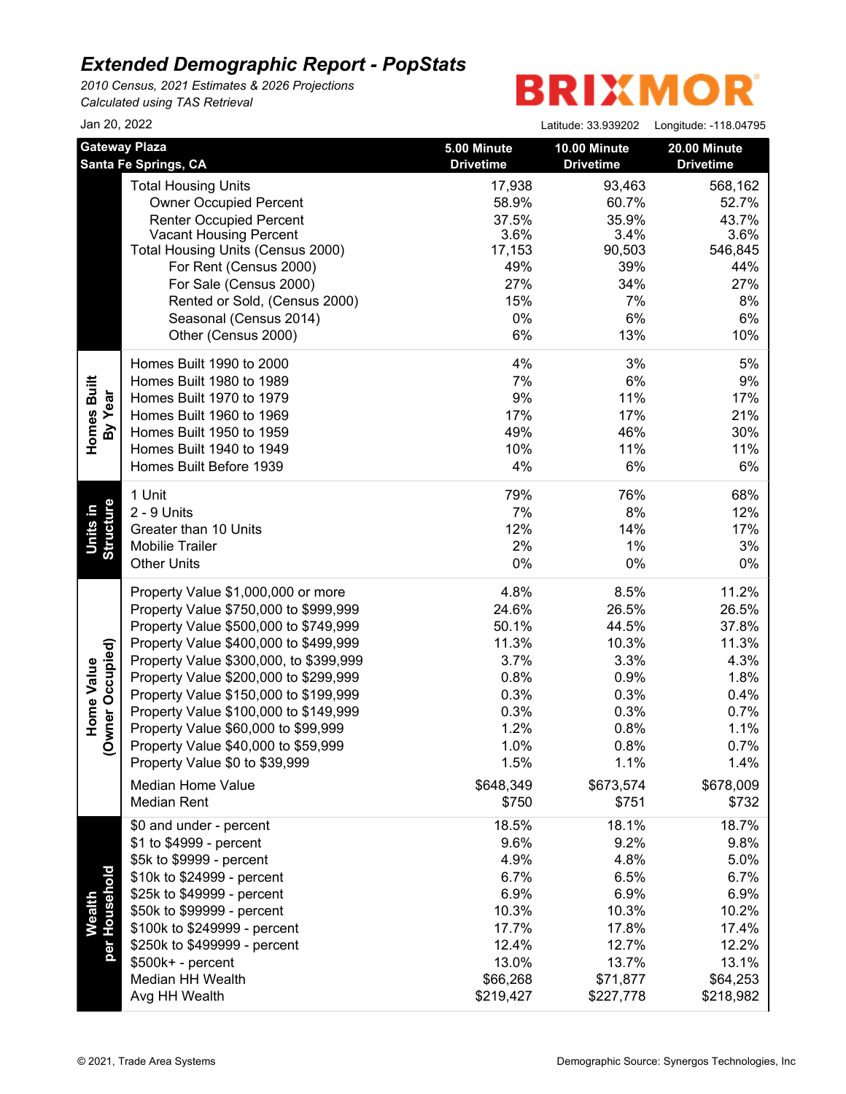*2010 Census, 2021 Estimates & 2026 Projections Calculated using TAS Retrieval*

| Jan 20, 2022                                          |                                                                                                                                                                                                                                                                                                                                                                                                                                                                                               |                                                                                                               | Latitude: 33.939202                                                                                           | Longitude: -118.04795                                                                                          |
|-------------------------------------------------------|-----------------------------------------------------------------------------------------------------------------------------------------------------------------------------------------------------------------------------------------------------------------------------------------------------------------------------------------------------------------------------------------------------------------------------------------------------------------------------------------------|---------------------------------------------------------------------------------------------------------------|---------------------------------------------------------------------------------------------------------------|----------------------------------------------------------------------------------------------------------------|
|                                                       | <b>Gateway Plaza</b><br><b>Santa Fe Springs, CA</b>                                                                                                                                                                                                                                                                                                                                                                                                                                           | 5.00 Minute<br><b>Drivetime</b>                                                                               | 10.00 Minute<br><b>Drivetime</b>                                                                              | 20.00 Minute<br><b>Drivetime</b>                                                                               |
|                                                       | <b>Total Housing Units</b><br><b>Owner Occupied Percent</b><br><b>Renter Occupied Percent</b><br><b>Vacant Housing Percent</b><br>Total Housing Units (Census 2000)<br>For Rent (Census 2000)<br>For Sale (Census 2000)<br>Rented or Sold, (Census 2000)<br>Seasonal (Census 2014)<br>Other (Census 2000)                                                                                                                                                                                     | 17,938<br>58.9%<br>37.5%<br>3.6%<br>17,153<br>49%<br>27%<br>15%<br>0%<br>6%                                   | 93,463<br>60.7%<br>35.9%<br>3.4%<br>90,503<br>39%<br>34%<br>7%<br>6%<br>13%                                   | 568,162<br>52.7%<br>43.7%<br>3.6%<br>546,845<br>44%<br>27%<br>8%<br>6%<br>10%                                  |
| Homes Built<br>By Year                                | Homes Built 1990 to 2000<br>Homes Built 1980 to 1989<br>Homes Built 1970 to 1979<br>Homes Built 1960 to 1969<br>Homes Built 1950 to 1959<br>Homes Built 1940 to 1949<br>Homes Built Before 1939                                                                                                                                                                                                                                                                                               | 4%<br>7%<br>9%<br>17%<br>49%<br>10%<br>4%                                                                     | 3%<br>6%<br>11%<br>17%<br>46%<br>11%<br>6%                                                                    | 5%<br>9%<br>17%<br>21%<br>30%<br>11%<br>6%                                                                     |
| <b>Structure</b><br>Units in                          | 1 Unit<br>2 - 9 Units<br>Greater than 10 Units<br><b>Mobilie Trailer</b><br><b>Other Units</b>                                                                                                                                                                                                                                                                                                                                                                                                | 79%<br>7%<br>12%<br>2%<br>$0\%$                                                                               | 76%<br>8%<br>14%<br>1%<br>$0\%$                                                                               | 68%<br>12%<br>17%<br>3%<br>$0\%$                                                                               |
| vner Occupied)<br>Home Value<br>$\check{\mathcal{S}}$ | Property Value \$1,000,000 or more<br>Property Value \$750,000 to \$999,999<br>Property Value \$500,000 to \$749,999<br>Property Value \$400,000 to \$499,999<br>Property Value \$300,000, to \$399,999<br>Property Value \$200,000 to \$299,999<br>Property Value \$150,000 to \$199,999<br>Property Value \$100,000 to \$149,999<br>Property Value \$60,000 to \$99,999<br>Property Value \$40,000 to \$59,999<br>Property Value \$0 to \$39,999<br>Median Home Value<br><b>Median Rent</b> | 4.8%<br>24.6%<br>50.1%<br>11.3%<br>3.7%<br>0.8%<br>0.3%<br>0.3%<br>1.2%<br>1.0%<br>1.5%<br>\$648,349<br>\$750 | 8.5%<br>26.5%<br>44.5%<br>10.3%<br>3.3%<br>0.9%<br>0.3%<br>0.3%<br>0.8%<br>0.8%<br>1.1%<br>\$673,574<br>\$751 | 11.2%<br>26.5%<br>37.8%<br>11.3%<br>4.3%<br>1.8%<br>0.4%<br>0.7%<br>1.1%<br>0.7%<br>1.4%<br>\$678,009<br>\$732 |
| per Household<br><b>Wealth</b>                        | \$0 and under - percent<br>\$1 to \$4999 - percent<br>\$5k to \$9999 - percent<br>\$10k to \$24999 - percent<br>\$25k to \$49999 - percent<br>\$50k to \$99999 - percent<br>\$100k to \$249999 - percent<br>\$250k to \$499999 - percent<br>$$500k+ - percent$<br>Median HH Wealth<br>Avg HH Wealth                                                                                                                                                                                           | 18.5%<br>9.6%<br>4.9%<br>6.7%<br>6.9%<br>10.3%<br>17.7%<br>12.4%<br>13.0%<br>\$66,268<br>\$219,427            | 18.1%<br>9.2%<br>4.8%<br>6.5%<br>6.9%<br>10.3%<br>17.8%<br>12.7%<br>13.7%<br>\$71,877<br>\$227,778            | 18.7%<br>9.8%<br>5.0%<br>6.7%<br>6.9%<br>10.2%<br>17.4%<br>12.2%<br>13.1%<br>\$64,253<br>\$218,982             |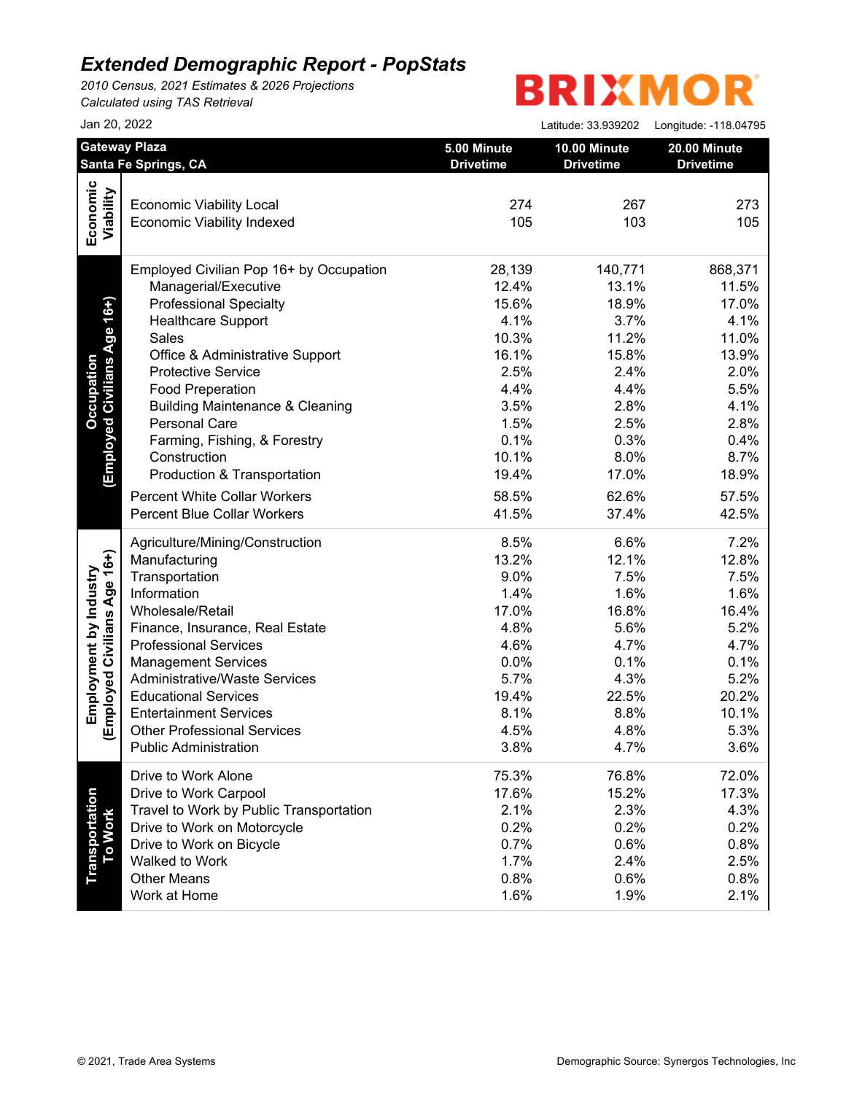*2010 Census, 2021 Estimates & 2026 Projections Calculated using TAS Retrieval*

|                                  | Jan 20, 2022                                 |                                 | Latitude: 33.939202              | Longitude: -118.04795 |
|----------------------------------|----------------------------------------------|---------------------------------|----------------------------------|-----------------------|
|                                  | <b>Gateway Plaza</b><br>Santa Fe Springs, CA | 5.00 Minute<br><b>Drivetime</b> | 10.00 Minute<br><b>Drivetime</b> | 20.00 Minute          |
|                                  |                                              |                                 |                                  | <b>Drivetime</b>      |
|                                  |                                              |                                 |                                  |                       |
|                                  | <b>Economic Viability Local</b>              | 274                             | 267                              | 273                   |
| Economic<br>Viability            | <b>Economic Viability Indexed</b>            | 105                             | 103                              | 105                   |
|                                  | Employed Civilian Pop 16+ by Occupation      | 28,139                          | 140,771                          | 868,371               |
|                                  | Managerial/Executive                         | 12.4%                           | 13.1%                            | 11.5%                 |
|                                  | <b>Professional Specialty</b>                | 15.6%                           | 18.9%                            | 17.0%                 |
| (Employed Civilians Age 16+)     | <b>Healthcare Support</b>                    | 4.1%                            | 3.7%                             | 4.1%                  |
|                                  | Sales                                        | 10.3%                           | 11.2%                            | 11.0%                 |
|                                  | Office & Administrative Support              | 16.1%                           | 15.8%                            | 13.9%                 |
|                                  | <b>Protective Service</b>                    | 2.5%                            | 2.4%                             | 2.0%                  |
|                                  | <b>Food Preperation</b>                      | 4.4%                            | 4.4%                             | 5.5%                  |
|                                  | <b>Building Maintenance &amp; Cleaning</b>   | 3.5%                            | 2.8%                             | 4.1%                  |
|                                  | Personal Care                                | 1.5%                            | 2.5%                             | 2.8%                  |
|                                  | Farming, Fishing, & Forestry                 | 0.1%                            | 0.3%                             | 0.4%                  |
|                                  | Construction                                 | 10.1%                           | 8.0%                             | 8.7%                  |
|                                  | Production & Transportation                  | 19.4%                           | 17.0%                            | 18.9%                 |
|                                  |                                              |                                 |                                  |                       |
|                                  | <b>Percent White Collar Workers</b>          | 58.5%                           | 62.6%                            | 57.5%                 |
|                                  | <b>Percent Blue Collar Workers</b>           | 41.5%                           | 37.4%                            | 42.5%                 |
|                                  | Agriculture/Mining/Construction              | 8.5%                            | 6.6%                             | 7.2%                  |
|                                  | Manufacturing                                | 13.2%                           | 12.1%                            | 12.8%                 |
|                                  | Transportation                               | 9.0%                            | 7.5%                             | 7.5%                  |
|                                  | Information                                  | 1.4%                            | 1.6%                             | 1.6%                  |
|                                  | Wholesale/Retail                             | 17.0%                           | 16.8%                            | 16.4%                 |
|                                  | Finance, Insurance, Real Estate              | 4.8%                            | 5.6%                             | 5.2%                  |
|                                  | <b>Professional Services</b>                 | 4.6%                            | 4.7%                             | 4.7%                  |
|                                  | <b>Management Services</b>                   | 0.0%                            | 0.1%                             | 0.1%                  |
| Employed Civilians Age 16+)      | <b>Administrative/Waste Services</b>         | 5.7%                            | 4.3%                             | 5.2%                  |
|                                  | <b>Educational Services</b>                  | 19.4%                           | 22.5%                            | 20.2%                 |
|                                  | <b>Entertainment Services</b>                | 8.1%                            | 8.8%                             | 10.1%                 |
|                                  | <b>Other Professional Services</b>           | 4.5%                            | 4.8%                             | 5.3%                  |
|                                  | <b>Public Administration</b>                 | 3.8%                            | 4.7%                             | 3.6%                  |
|                                  | Drive to Work Alone                          | 75.3%                           | 76.8%                            | 72.0%                 |
|                                  | Drive to Work Carpool                        | 17.6%                           | 15.2%                            | 17.3%                 |
|                                  | Travel to Work by Public Transportation      | 2.1%                            | 2.3%                             | 4.3%                  |
|                                  | Drive to Work on Motorcycle                  | 0.2%                            | 0.2%                             | 0.2%                  |
|                                  | Drive to Work on Bicycle                     | 0.7%                            | 0.6%                             | 0.8%                  |
|                                  | Walked to Work                               | 1.7%                            | 2.4%                             | 2.5%                  |
| <b>Transportation</b><br>To Work | <b>Other Means</b>                           | 0.8%                            | 0.6%                             | 0.8%                  |
|                                  | Work at Home                                 | 1.6%                            | 1.9%                             | 2.1%                  |